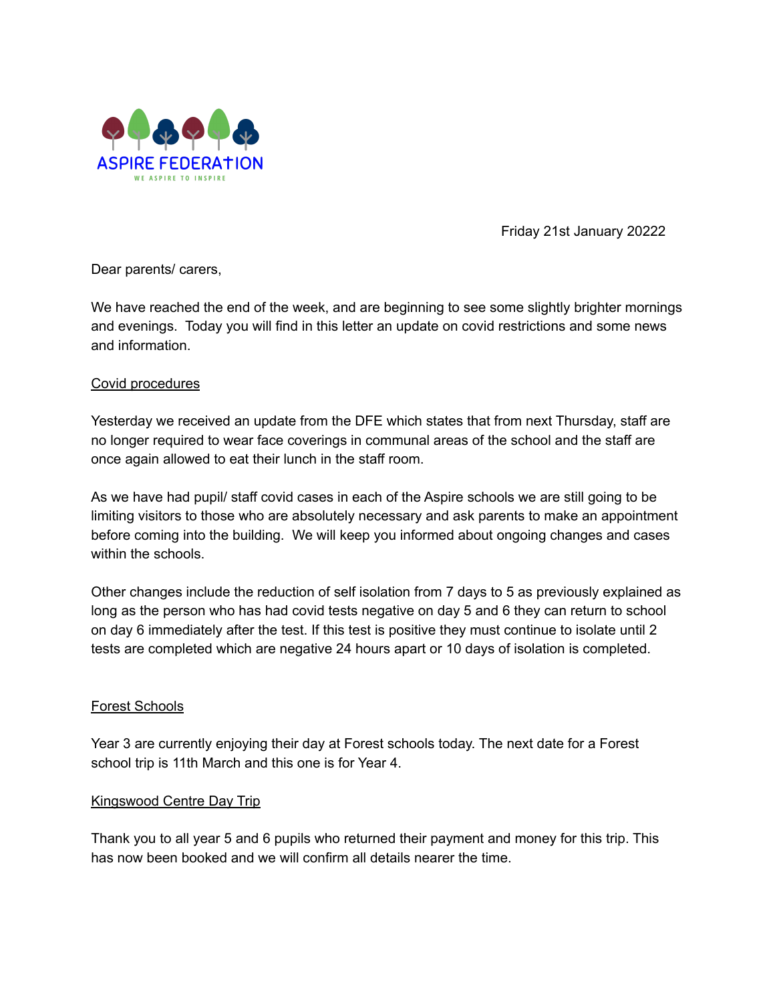

Friday 21st January 20222

Dear parents/ carers,

We have reached the end of the week, and are beginning to see some slightly brighter mornings and evenings. Today you will find in this letter an update on covid restrictions and some news and information.

# Covid procedures

Yesterday we received an update from the DFE which states that from next Thursday, staff are no longer required to wear face coverings in communal areas of the school and the staff are once again allowed to eat their lunch in the staff room.

As we have had pupil/ staff covid cases in each of the Aspire schools we are still going to be limiting visitors to those who are absolutely necessary and ask parents to make an appointment before coming into the building. We will keep you informed about ongoing changes and cases within the schools.

Other changes include the reduction of self isolation from 7 days to 5 as previously explained as long as the person who has had covid tests negative on day 5 and 6 they can return to school on day 6 immediately after the test. If this test is positive they must continue to isolate until 2 tests are completed which are negative 24 hours apart or 10 days of isolation is completed.

# Forest Schools

Year 3 are currently enjoying their day at Forest schools today. The next date for a Forest school trip is 11th March and this one is for Year 4.

# Kingswood Centre Day Trip

Thank you to all year 5 and 6 pupils who returned their payment and money for this trip. This has now been booked and we will confirm all details nearer the time.